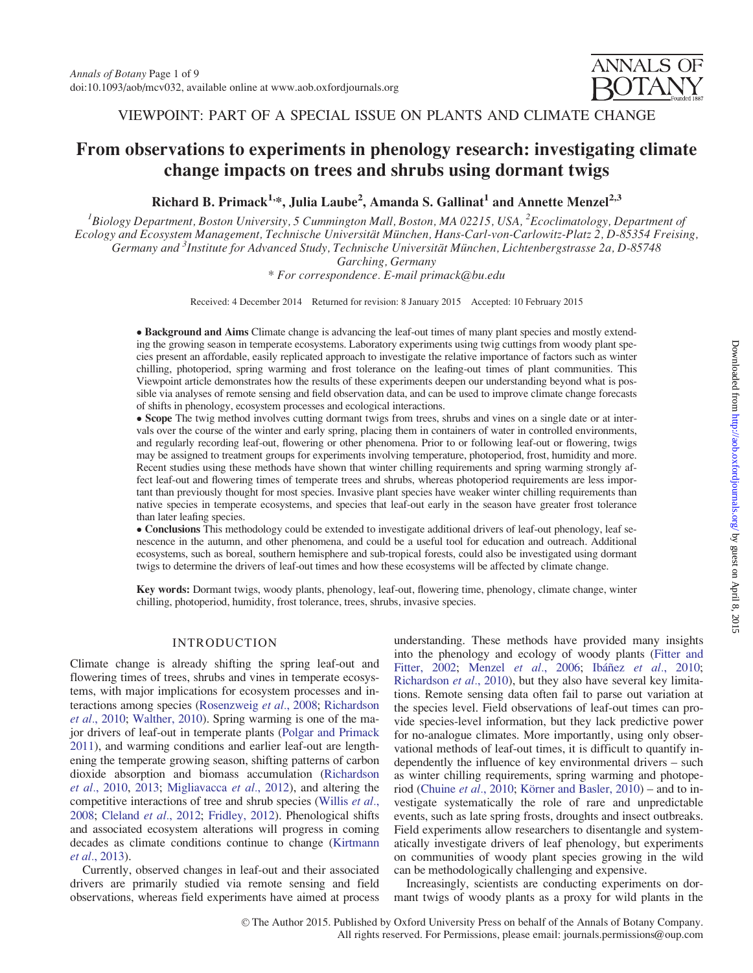

VIEWPOINT: PART OF A SPECIAL ISSUE ON PLANTS AND CLIMATE CHANGE

# From observations to experiments in phenology research: investigating climate change impacts on trees and shrubs using dormant twigs

Richard B. Primack<sup>1,\*</sup>, Julia Laube<sup>2</sup>, Amanda S. Gallinat<sup>1</sup> and Annette Menzel<sup>2,3</sup>

 $^1$ Biology Department, Boston University, 5 Cummington Mall, Boston, MA 02215, USA,  $^2$ Ecoclimatology, Department of Ecology and Ecosystem Management, Technische Universität München, Hans-Carl-von-Carlowitz-Platz 2, D-85354 Freising, Germany and <sup>3</sup>Institute for Advanced Study, Technische Universität München, Lichtenbergstrasse 2a, D-85748 Garching, Germany

\* For correspondence. E-mail primack@bu.edu

Received: 4 December 2014 Returned for revision: 8 January 2015 Accepted: 10 February 2015

- Background and Aims Climate change is advancing the leaf-out times of many plant species and mostly extending the growing season in temperate ecosystems. Laboratory experiments using twig cuttings from woody plant species present an affordable, easily replicated approach to investigate the relative importance of factors such as winter chilling, photoperiod, spring warming and frost tolerance on the leafing-out times of plant communities. This Viewpoint article demonstrates how the results of these experiments deepen our understanding beyond what is possible via analyses of remote sensing and field observation data, and can be used to improve climate change forecasts of shifts in phenology, ecosystem processes and ecological interactions.

- Scope The twig method involves cutting dormant twigs from trees, shrubs and vines on a single date or at intervals over the course of the winter and early spring, placing them in containers of water in controlled environments, and regularly recording leaf-out, flowering or other phenomena. Prior to or following leaf-out or flowering, twigs may be assigned to treatment groups for experiments involving temperature, photoperiod, frost, humidity and more. Recent studies using these methods have shown that winter chilling requirements and spring warming strongly affect leaf-out and flowering times of temperate trees and shrubs, whereas photoperiod requirements are less important than previously thought for most species. Invasive plant species have weaker winter chilling requirements than native species in temperate ecosystems, and species that leaf-out early in the season have greater frost tolerance than later leafing species.

- Conclusions This methodology could be extended to investigate additional drivers of leaf-out phenology, leaf senescence in the autumn, and other phenomena, and could be a useful tool for education and outreach. Additional ecosystems, such as boreal, southern hemisphere and sub-tropical forests, could also be investigated using dormant twigs to determine the drivers of leaf-out times and how these ecosystems will be affected by climate change.

Key words: Dormant twigs, woody plants, phenology, leaf-out, flowering time, phenology, climate change, winter chilling, photoperiod, humidity, frost tolerance, trees, shrubs, invasive species.

# INTRODUCTION

Climate change is already shifting the spring leaf-out and flowering times of trees, shrubs and vines in temperate ecosystems, with major implications for ecosystem processes and interactions among species [\(Rosenzweig](#page-8-0) et al., 2008; [Richardson](#page-8-0) et al.[, 2010](#page-8-0); [Walther, 2010\)](#page-8-0). Spring warming is one of the major drivers of leaf-out in temperate plants [\(Polgar and Primack](#page-8-0) [2011\)](#page-8-0), and warming conditions and earlier leaf-out are lengthening the temperate growing season, shifting patterns of carbon dioxide absorption and biomass accumulation ([Richardson](#page-8-0) et al.[, 2010,](#page-8-0) [2013;](#page-8-0) [Migliavacca](#page-8-0) et al., 2012), and altering the competitive interactions of tree and shrub species [\(Willis](#page-8-0) et al., [2008;](#page-8-0) [Cleland](#page-7-0) et al., 2012; [Fridley, 2012](#page-7-0)). Phenological shifts and associated ecosystem alterations will progress in coming decades as climate conditions continue to change ([Kirtmann](#page-8-0) et al.[, 2013](#page-8-0)).

Currently, observed changes in leaf-out and their associated drivers are primarily studied via remote sensing and field observations, whereas field experiments have aimed at process understanding. These methods have provided many insights into the phenology and ecology of woody plants [\(Fitter and](#page-7-0) [Fitter, 2002](#page-7-0); [Menzel](#page-8-0) et al., 2006; Ibáñez et al.[, 2010](#page-8-0); [Richardson](#page-8-0) et al., 2010), but they also have several key limitations. Remote sensing data often fail to parse out variation at the species level. Field observations of leaf-out times can provide species-level information, but they lack predictive power for no-analogue climates. More importantly, using only observational methods of leaf-out times, it is difficult to quantify independently the influence of key environmental drivers – such as winter chilling requirements, spring warming and photope-riod [\(Chuine](#page-7-0) et al., 2010; Körner and Basler, 2010) – and to investigate systematically the role of rare and unpredictable events, such as late spring frosts, droughts and insect outbreaks. Field experiments allow researchers to disentangle and systematically investigate drivers of leaf phenology, but experiments on communities of woody plant species growing in the wild can be methodologically challenging and expensive.

Increasingly, scientists are conducting experiments on dormant twigs of woody plants as a proxy for wild plants in the

V<sup>C</sup> The Author 2015. Published by Oxford University Press on behalf of the Annals of Botany Company. All rights reserved. For Permissions, please email: journals.permissions@oup.com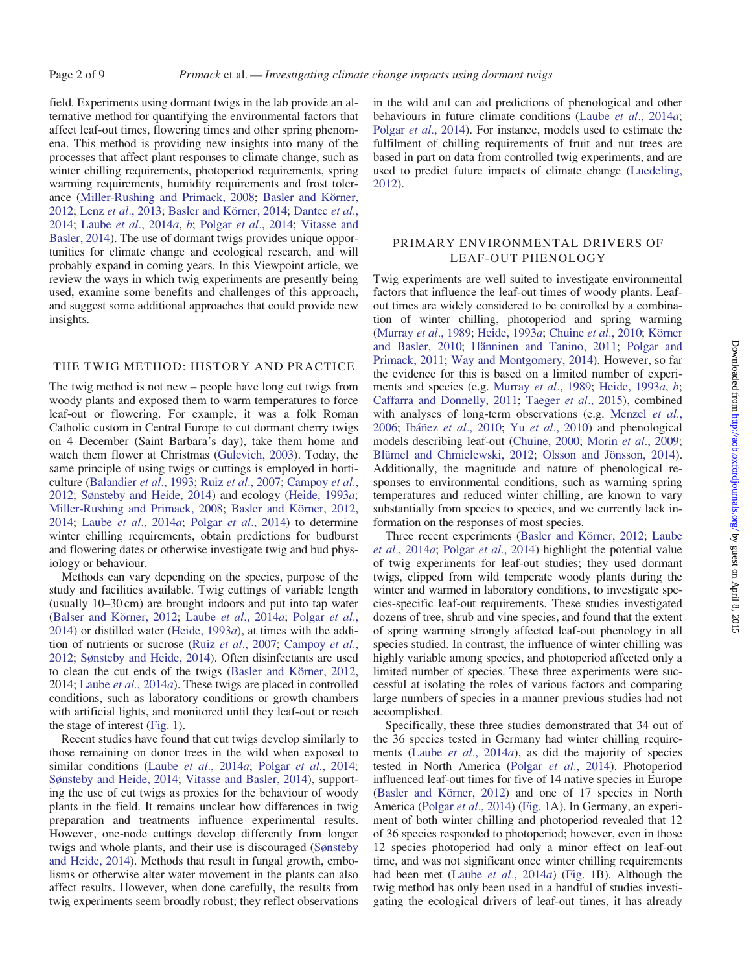field. Experiments using dormant twigs in the lab provide an alternative method for quantifying the environmental factors that affect leaf-out times, flowering times and other spring phenomena. This method is providing new insights into many of the processes that affect plant responses to climate change, such as winter chilling requirements, photoperiod requirements, spring warming requirements, humidity requirements and frost toler-ance [\(Miller-Rushing and Primack, 2008](#page-8-0); Basler and Körner, [2012;](#page-7-0) Lenz et al.[, 2013;](#page-8-0) Basler and Körner, 2014; [Dantec](#page-7-0) et al., [2014;](#page-7-0) Laube et al.[, 2014](#page-8-0)a, [b](#page-8-0); Polgar et al.[, 2014;](#page-8-0) [Vitasse and](#page-8-0) [Basler, 2014\)](#page-8-0). The use of dormant twigs provides unique opportunities for climate change and ecological research, and will probably expand in coming years. In this Viewpoint article, we review the ways in which twig experiments are presently being used, examine some benefits and challenges of this approach, and suggest some additional approaches that could provide new insights.

## THE TWIG METHOD: HISTORY AND PRACTICE

The twig method is not new – people have long cut twigs from woody plants and exposed them to warm temperatures to force leaf-out or flowering. For example, it was a folk Roman Catholic custom in Central Europe to cut dormant cherry twigs on 4 December (Saint Barbara's day), take them home and watch them flower at Christmas [\(Gulevich, 2003\)](#page-7-0). Today, the same principle of using twigs or cuttings is employed in horticulture [\(Balandier](#page-7-0) et al., 1993; Ruiz et al.[, 2007](#page-8-0); [Campoy](#page-7-0) et al., [2012;](#page-7-0) [Sønsteby and Heide, 2014](#page-8-0)) and ecology ([Heide, 1993](#page-8-0)a; [Miller-Rushing and Primack, 2008](#page-8-0); Basler and Körner, 2012, [2014;](#page-7-0) Laube et al.[, 2014](#page-8-0)a; Polgar et al.[, 2014\)](#page-8-0) to determine winter chilling requirements, obtain predictions for budburst and flowering dates or otherwise investigate twig and bud physiology or behaviour.

Methods can vary depending on the species, purpose of the study and facilities available. Twig cuttings of variable length (usually 10–30 cm) are brought indoors and put into tap water (Balser and Körner, 2012; Laube et al.[, 2014](#page-8-0)a; [Polgar](#page-8-0) et al., [2014\)](#page-8-0) or distilled water ([Heide, 1993](#page-8-0)a), at times with the addition of nutrients or sucrose (Ruiz et al.[, 2007](#page-8-0); [Campoy](#page-7-0) et al., [2012;](#page-7-0) [Sønsteby and Heide, 2014](#page-8-0)). Often disinfectants are used to clean the cut ends of the twigs (Basler and Körner, 2012, 2014; [Laube](#page-8-0) et al., 2014a). These twigs are placed in controlled conditions, such as laboratory conditions or growth chambers with artificial lights, and monitored until they leaf-out or reach the stage of interest [\(Fig. 1](#page-2-0)).

Recent studies have found that cut twigs develop similarly to those remaining on donor trees in the wild when exposed to similar conditions (Laube et al.[, 2014](#page-8-0)a; Polgar et al.[, 2014;](#page-8-0) [Sønsteby and Heide, 2014;](#page-8-0) [Vitasse and Basler, 2014](#page-8-0)), supporting the use of cut twigs as proxies for the behaviour of woody plants in the field. It remains unclear how differences in twig preparation and treatments influence experimental results. However, one-node cuttings develop differently from longer twigs and whole plants, and their use is discouraged ([Sønsteby](#page-8-0) [and Heide, 2014\)](#page-8-0). Methods that result in fungal growth, embolisms or otherwise alter water movement in the plants can also affect results. However, when done carefully, the results from twig experiments seem broadly robust; they reflect observations

in the wild and can aid predictions of phenological and other behaviours in future climate conditions (Laube et al.[, 2014](#page-8-0)a; Polgar *et al.*[, 2014\)](#page-8-0). For instance, models used to estimate the fulfilment of chilling requirements of fruit and nut trees are based in part on data from controlled twig experiments, and are used to predict future impacts of climate change [\(Luedeling,](#page-8-0) [2012](#page-8-0)).

# PRIMARY ENVIRONMENTAL DRIVERS OF LEAF-OUT PHENOLOGY

Twig experiments are well suited to investigate environmental factors that influence the leaf-out times of woody plants. Leafout times are widely considered to be controlled by a combination of winter chilling, photoperiod and spring warming ([Murray](#page-8-0) et al., 1989; [Heide, 1993](#page-8-0)a; [Chuine](#page-7-0) et al., 2010; Körner [and Basler, 2010;](#page-8-0) Hänninen and Tanino, 2011; [Polgar and](#page-8-0) [Primack, 2011](#page-8-0); [Way and Montgomery, 2014\)](#page-8-0). However, so far the evidence for this is based on a limited number of experiments and species (e.g. [Murray](#page-8-0) et al., 1989; [Heide, 1993](#page-8-0)a, [b](#page-8-0); [Caffarra and Donnelly, 2011](#page-7-0); [Taeger](#page-8-0) et al., 2015), combined with analyses of long-term observations (e.g. [Menzel](#page-8-0) et al., [2006](#page-8-0); Ibáñez et al., 2010; Yu et al.[, 2010\)](#page-8-0) and phenological models describing leaf-out [\(Chuine, 2000;](#page-7-0) Morin et al.[, 2009](#page-8-0); Blümel and Chmielewski, 2012; Olsson and Jönsson, 2014). Additionally, the magnitude and nature of phenological responses to environmental conditions, such as warming spring temperatures and reduced winter chilling, are known to vary substantially from species to species, and we currently lack information on the responses of most species.

Three recent experiments (Basler and Körner, 2012; [Laube](#page-8-0) et al.[, 2014](#page-8-0)a; [Polgar](#page-8-0) et al., 2014) highlight the potential value of twig experiments for leaf-out studies; they used dormant twigs, clipped from wild temperate woody plants during the winter and warmed in laboratory conditions, to investigate species-specific leaf-out requirements. These studies investigated dozens of tree, shrub and vine species, and found that the extent of spring warming strongly affected leaf-out phenology in all species studied. In contrast, the influence of winter chilling was highly variable among species, and photoperiod affected only a limited number of species. These three experiments were successful at isolating the roles of various factors and comparing large numbers of species in a manner previous studies had not accomplished.

Specifically, these three studies demonstrated that 34 out of the 36 species tested in Germany had winter chilling requirements (Laube *et al.*[, 2014](#page-8-0)*a*), as did the majority of species tested in North America (Polgar et al.[, 2014](#page-8-0)). Photoperiod influenced leaf-out times for five of 14 native species in Europe (Basler and Körner, 2012) and one of 17 species in North America [\(Polgar](#page-8-0) et al., 2014) [\(Fig. 1A](#page-2-0)). In Germany, an experiment of both winter chilling and photoperiod revealed that 12 of 36 species responded to photoperiod; however, even in those 12 species photoperiod had only a minor effect on leaf-out time, and was not significant once winter chilling requirements had been met (Laube et al.[, 2014](#page-8-0)a) [\(Fig. 1](#page-2-0)B). Although the twig method has only been used in a handful of studies investigating the ecological drivers of leaf-out times, it has already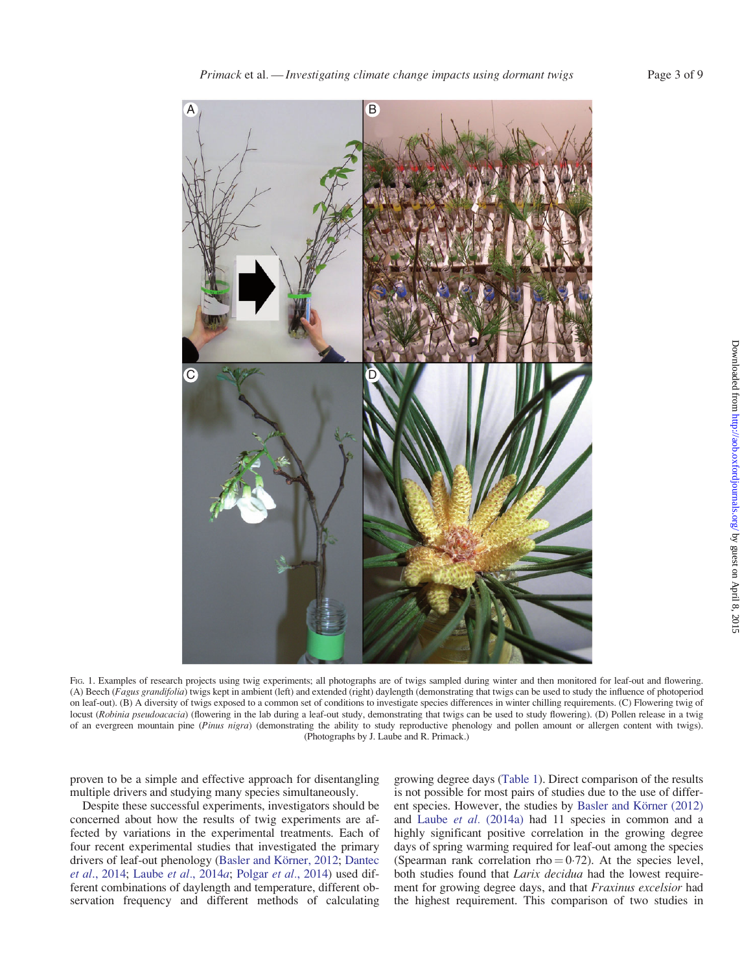<span id="page-2-0"></span>

FIG. 1. Examples of research projects using twig experiments; all photographs are of twigs sampled during winter and then monitored for leaf-out and flowering. (A) Beech (Fagus grandifolia) twigs kept in ambient (left) and extended (right) daylength (demonstrating that twigs can be used to study the influence of photoperiod on leaf-out). (B) A diversity of twigs exposed to a common set of conditions to investigate species differences in winter chilling requirements. (C) Flowering twig of locust (Robinia pseudoacacia) (flowering in the lab during a leaf-out study, demonstrating that twigs can be used to study flowering). (D) Pollen release in a twig of an evergreen mountain pine (Pinus nigra) (demonstrating the ability to study reproductive phenology and pollen amount or allergen content with twigs). (Photographs by J. Laube and R. Primack.)

proven to be a simple and effective approach for disentangling multiple drivers and studying many species simultaneously.

Despite these successful experiments, investigators should be concerned about how the results of twig experiments are affected by variations in the experimental treatments. Each of four recent experimental studies that investigated the primary drivers of leaf-out phenology (Basler and Körner, 2012; [Dantec](#page-7-0) et al[., 2014;](#page-7-0) Laube et al.[, 2014](#page-8-0)a; Polgar et al.[, 2014\)](#page-8-0) used different combinations of daylength and temperature, different observation frequency and different methods of calculating growing degree days [\(Table 1](#page-3-0)). Direct comparison of the results is not possible for most pairs of studies due to the use of different species. However, the studies by Basler and Körner (2012) and Laube et al. [\(2014a\)](#page-8-0) had 11 species in common and a highly significant positive correlation in the growing degree days of spring warming required for leaf-out among the species (Spearman rank correlation rho  $= 0.72$ ). At the species level, both studies found that Larix decidua had the lowest requirement for growing degree days, and that Fraxinus excelsior had the highest requirement. This comparison of two studies in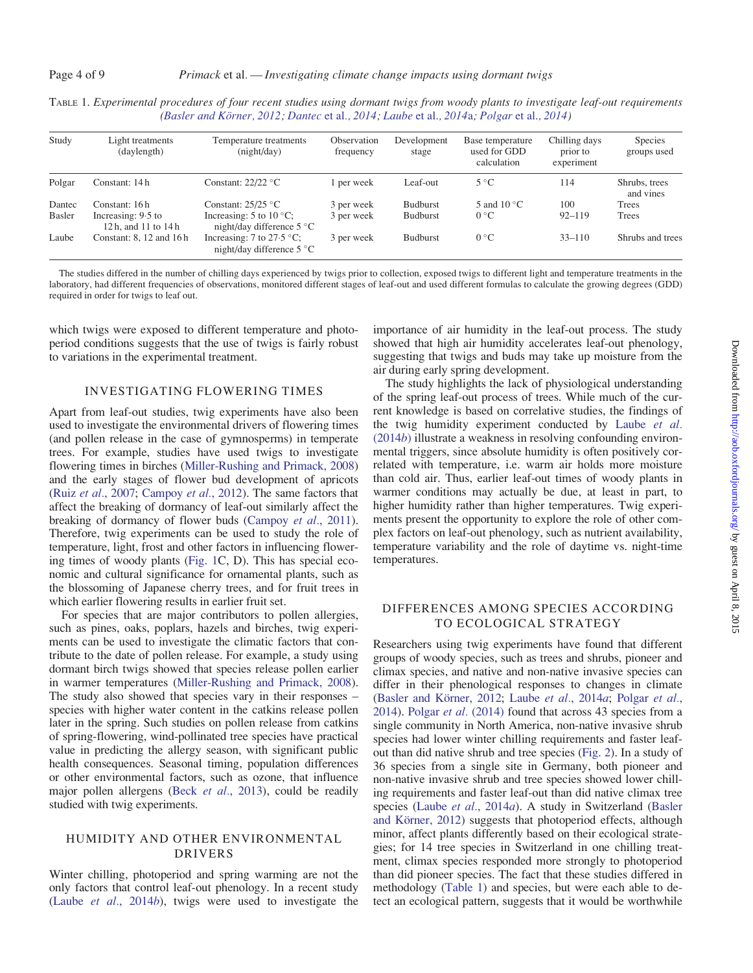<span id="page-3-0"></span>

| TABLE 1. Experimental procedures of four recent studies using dormant twigs from woody plants to investigate leaf-out requirements |  |                                                                                                 |  |  |  |  |
|------------------------------------------------------------------------------------------------------------------------------------|--|-------------------------------------------------------------------------------------------------|--|--|--|--|
|                                                                                                                                    |  | <i>(Basler and Körner, 2012, Dantec et al., 2014, Laube et al., 2014a, Polgar et al., 2014)</i> |  |  |  |  |

| Study  | Light treatments<br>(daylength)              | Temperature treatments<br>(night/day)                                   | Observation<br>frequency | Development<br>stage | Base temperature<br>used for GDD<br>calculation | Chilling days<br>prior to<br>experiment | <b>Species</b><br>groups used |
|--------|----------------------------------------------|-------------------------------------------------------------------------|--------------------------|----------------------|-------------------------------------------------|-----------------------------------------|-------------------------------|
| Polgar | Constant: 14h                                | Constant: $22/22$ °C                                                    | per week                 | Leaf-out             | $5^{\circ}C$                                    | 114                                     | Shrubs, trees<br>and vines    |
| Dantec | Constant: 16h                                | Constant: $25/25$ °C                                                    | 3 per week               | <b>Budburst</b>      | 5 and $10^{\circ}$ C                            | 100                                     | Trees                         |
| Basler | Increasing: $9.5$ to<br>12 h, and 11 to 14 h | Increasing: 5 to 10 $^{\circ}$ C;<br>night/day difference $5^{\circ}$ C | 3 per week               | <b>Budburst</b>      | $0^{\circ}C$                                    | $92 - 119$                              | Trees                         |
| Laube  | Constant: $8$ , 12 and 16 h                  | Increasing: 7 to $27.5$ °C;<br>night/day difference $5^{\circ}$ C       | 3 per week               | <b>Budburst</b>      | $0^{\circ}C$                                    | $33 - 110$                              | Shrubs and trees              |

The studies differed in the number of chilling days experienced by twigs prior to collection, exposed twigs to different light and temperature treatments in the laboratory, had different frequencies of observations, monitored different stages of leaf-out and used different formulas to calculate the growing degrees (GDD) required in order for twigs to leaf out.

which twigs were exposed to different temperature and photoperiod conditions suggests that the use of twigs is fairly robust to variations in the experimental treatment.

## INVESTIGATING FLOWERING TIMES

Apart from leaf-out studies, twig experiments have also been used to investigate the environmental drivers of flowering times (and pollen release in the case of gymnosperms) in temperate trees. For example, studies have used twigs to investigate flowering times in birches [\(Miller-Rushing and Primack, 2008](#page-8-0)) and the early stages of flower bud development of apricots (Ruiz et al.[, 2007;](#page-8-0) [Campoy](#page-7-0) et al., 2012). The same factors that affect the breaking of dormancy of leaf-out similarly affect the breaking of dormancy of flower buds [\(Campoy](#page-7-0) et al., 2011). Therefore, twig experiments can be used to study the role of temperature, light, frost and other factors in influencing flowering times of woody plants [\(Fig. 1](#page-2-0)C, D). This has special economic and cultural significance for ornamental plants, such as the blossoming of Japanese cherry trees, and for fruit trees in which earlier flowering results in earlier fruit set.

For species that are major contributors to pollen allergies, such as pines, oaks, poplars, hazels and birches, twig experiments can be used to investigate the climatic factors that contribute to the date of pollen release. For example, a study using dormant birch twigs showed that species release pollen earlier in warmer temperatures [\(Miller-Rushing and Primack, 2008\)](#page-8-0). The study also showed that species vary in their responses – species with higher water content in the catkins release pollen later in the spring. Such studies on pollen release from catkins of spring-flowering, wind-pollinated tree species have practical value in predicting the allergy season, with significant public health consequences. Seasonal timing, population differences or other environmental factors, such as ozone, that influence major pollen allergens (Beck et al.[, 2013\)](#page-7-0), could be readily studied with twig experiments.

# HUMIDITY AND OTHER ENVIRONMENTAL DRIVERS

Winter chilling, photoperiod and spring warming are not the only factors that control leaf-out phenology. In a recent study (Laube et al.[, 2014](#page-8-0)b), twigs were used to investigate the

importance of air humidity in the leaf-out process. The study showed that high air humidity accelerates leaf-out phenology, suggesting that twigs and buds may take up moisture from the air during early spring development.

The study highlights the lack of physiological understanding of the spring leaf-out process of trees. While much of the current knowledge is based on correlative studies, the findings of the twig humidity experiment conducted by [Laube](#page-8-0) et al. [\(2014](#page-8-0)b) illustrate a weakness in resolving confounding environmental triggers, since absolute humidity is often positively correlated with temperature, i.e. warm air holds more moisture than cold air. Thus, earlier leaf-out times of woody plants in warmer conditions may actually be due, at least in part, to higher humidity rather than higher temperatures. Twig experiments present the opportunity to explore the role of other complex factors on leaf-out phenology, such as nutrient availability, temperature variability and the role of daytime vs. night-time temperatures.

# DIFFERENCES AMONG SPECIES ACCORDING TO ECOLOGICAL STRATEGY

Researchers using twig experiments have found that different groups of woody species, such as trees and shrubs, pioneer and climax species, and native and non-native invasive species can differ in their phenological responses to changes in climate (Basler and Körner, 2012; Laube et al.[, 2014](#page-8-0)a; [Polgar](#page-8-0) et al., [2014](#page-8-0)). Polgar et al. [\(2014\)](#page-8-0) found that across 43 species from a single community in North America, non-native invasive shrub species had lower winter chilling requirements and faster leafout than did native shrub and tree species ([Fig. 2\)](#page-4-0). In a study of 36 species from a single site in Germany, both pioneer and non-native invasive shrub and tree species showed lower chilling requirements and faster leaf-out than did native climax tree species (Laube et al.[, 2014](#page-8-0)a). A study in Switzerland [\(Basler](#page-7-0) and Körner, 2012) suggests that photoperiod effects, although minor, affect plants differently based on their ecological strategies; for 14 tree species in Switzerland in one chilling treatment, climax species responded more strongly to photoperiod than did pioneer species. The fact that these studies differed in methodology (Table 1) and species, but were each able to detect an ecological pattern, suggests that it would be worthwhile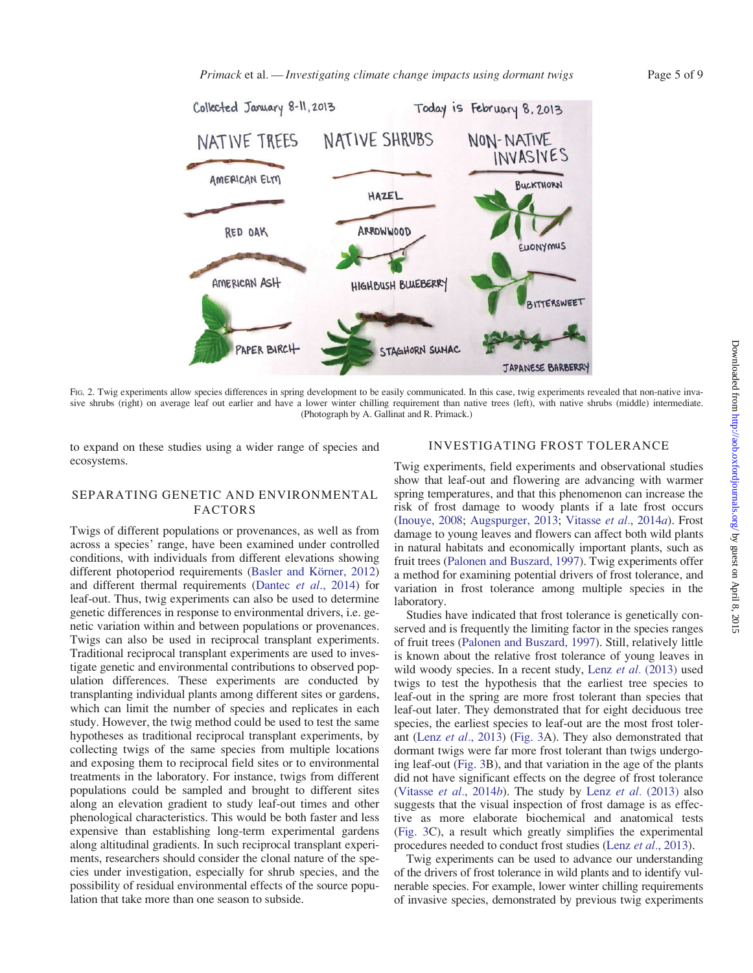<span id="page-4-0"></span>

FIG. 2. Twig experiments allow species differences in spring development to be easily communicated. In this case, twig experiments revealed that non-native invasive shrubs (right) on average leaf out earlier and have a lower winter chilling requirement than native trees (left), with native shrubs (middle) intermediate. (Photograph by A. Gallinat and R. Primack.)

to expand on these studies using a wider range of species and ecosystems.

# SEPARATING GENETIC AND ENVIRONMENTAL FACTORS

Twigs of different populations or provenances, as well as from across a species' range, have been examined under controlled conditions, with individuals from different elevations showing different photoperiod requirements (Basler and Körner, 2012) and different thermal requirements (Dantec et al[., 2014](#page-7-0)) for leaf-out. Thus, twig experiments can also be used to determine genetic differences in response to environmental drivers, i.e. genetic variation within and between populations or provenances. Twigs can also be used in reciprocal transplant experiments. Traditional reciprocal transplant experiments are used to investigate genetic and environmental contributions to observed population differences. These experiments are conducted by transplanting individual plants among different sites or gardens, which can limit the number of species and replicates in each study. However, the twig method could be used to test the same hypotheses as traditional reciprocal transplant experiments, by collecting twigs of the same species from multiple locations and exposing them to reciprocal field sites or to environmental treatments in the laboratory. For instance, twigs from different populations could be sampled and brought to different sites along an elevation gradient to study leaf-out times and other phenological characteristics. This would be both faster and less expensive than establishing long-term experimental gardens along altitudinal gradients. In such reciprocal transplant experiments, researchers should consider the clonal nature of the species under investigation, especially for shrub species, and the possibility of residual environmental effects of the source population that take more than one season to subside.

## INVESTIGATING FROST TOLERANCE

Twig experiments, field experiments and observational studies show that leaf-out and flowering are advancing with warmer spring temperatures, and that this phenomenon can increase the risk of frost damage to woody plants if a late frost occurs ([Inouye, 2008](#page-8-0); [Augspurger, 2013](#page-7-0); [Vitasse](#page-8-0) et al., 2014a). Frost damage to young leaves and flowers can affect both wild plants in natural habitats and economically important plants, such as fruit trees [\(Palonen and Buszard, 1997](#page-8-0)). Twig experiments offer a method for examining potential drivers of frost tolerance, and variation in frost tolerance among multiple species in the laboratory.

Studies have indicated that frost tolerance is genetically conserved and is frequently the limiting factor in the species ranges of fruit trees ([Palonen and Buszard, 1997](#page-8-0)). Still, relatively little is known about the relative frost tolerance of young leaves in wild woody species. In a recent study, Lenz et al. [\(2013\)](#page-8-0) used twigs to test the hypothesis that the earliest tree species to leaf-out in the spring are more frost tolerant than species that leaf-out later. They demonstrated that for eight deciduous tree species, the earliest species to leaf-out are the most frost tolerant (Lenz et al.[, 2013](#page-8-0)) [\(Fig. 3](#page-5-0)A). They also demonstrated that dormant twigs were far more frost tolerant than twigs undergoing leaf-out [\(Fig. 3](#page-5-0)B), and that variation in the age of the plants did not have significant effects on the degree of frost tolerance ([Vitasse](#page-8-0) et al., 2014b). The study by Lenz et al.  $(2013)$  also suggests that the visual inspection of frost damage is as effective as more elaborate biochemical and anatomical tests ([Fig. 3C](#page-5-0)), a result which greatly simplifies the experimental procedures needed to conduct frost studies (Lenz et al.[, 2013\)](#page-8-0).

Twig experiments can be used to advance our understanding of the drivers of frost tolerance in wild plants and to identify vulnerable species. For example, lower winter chilling requirements of invasive species, demonstrated by previous twig experiments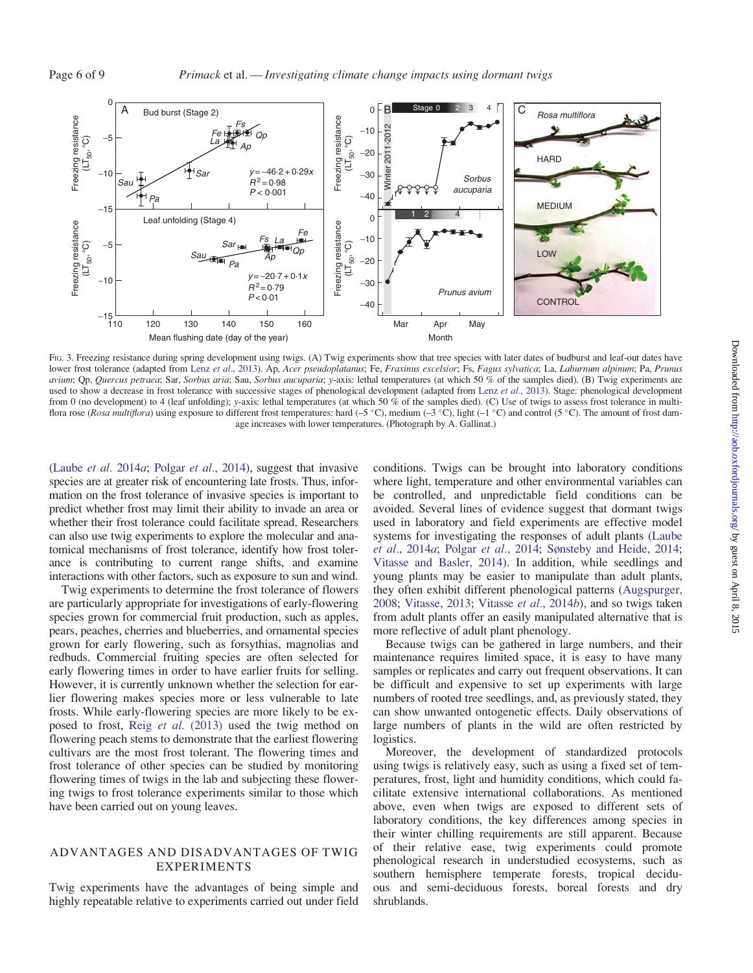<span id="page-5-0"></span>

FIG. 3. Freezing resistance during spring development using twigs. (A) Twig experiments show that tree species with later dates of budburst and leaf-out dates have lower frost tolerance (adapted from Lenz et al.[, 2013](#page-8-0)). Ap, Acer pseudoplatanus; Fe, Fraxinus excelsior; Fs, Fagus sylvatica; La, Laburnum alpinum; Pa, Prunus avium; Op, Quercus petraea; Sar, Sorbus aria; Sau, Sorbus aucuparia; y-axis: lethal temperatures (at which 50 % of the samples died). (B) Twig experiments are used to show a decrease in frost tolerance with successive stages of phenological development (adapted from Lenz et al.[, 2013](#page-8-0)). Stage: phenological development from 0 (no development) to 4 (leaf unfolding); y-axis: lethal temperatures (at which 50 % of the samples died). (C) Use of twigs to assess frost tolerance in multiflora rose (Rosa multiflora) using exposure to different frost temperatures: hard (–5 °C), medium (–3 °C), light (–1 °C) and control (5 °C). The amount of frost damage increases with lower temperatures. (Photograph by A. Gallinat.)

[\(Laube](#page-8-0) et al. 2014a; Polgar et al.[, 2014\)](#page-8-0), suggest that invasive species are at greater risk of encountering late frosts. Thus, information on the frost tolerance of invasive species is important to predict whether frost may limit their ability to invade an area or whether their frost tolerance could facilitate spread. Researchers can also use twig experiments to explore the molecular and anatomical mechanisms of frost tolerance, identify how frost tolerance is contributing to current range shifts, and examine interactions with other factors, such as exposure to sun and wind.

Twig experiments to determine the frost tolerance of flowers are particularly appropriate for investigations of early-flowering species grown for commercial fruit production, such as apples, pears, peaches, cherries and blueberries, and ornamental species grown for early flowering, such as forsythias, magnolias and redbuds. Commercial fruiting species are often selected for early flowering times in order to have earlier fruits for selling. However, it is currently unknown whether the selection for earlier flowering makes species more or less vulnerable to late frosts. While early-flowering species are more likely to be exposed to frost, Reig et al. [\(2013\)](#page-8-0) used the twig method on flowering peach stems to demonstrate that the earliest flowering cultivars are the most frost tolerant. The flowering times and frost tolerance of other species can be studied by monitoring flowering times of twigs in the lab and subjecting these flowering twigs to frost tolerance experiments similar to those which have been carried out on young leaves.

# ADVANTAGES AND DISADVANTAGES OF TWIG EXPERIMENTS

Twig experiments have the advantages of being simple and highly repeatable relative to experiments carried out under field conditions. Twigs can be brought into laboratory conditions where light, temperature and other environmental variables can be controlled, and unpredictable field conditions can be avoided. Several lines of evidence suggest that dormant twigs used in laboratory and field experiments are effective model systems for investigating the responses of adult plants ([Laube](#page-8-0) et al.[, 2014](#page-8-0)a; Polgar et al.[, 2014;](#page-8-0) [Sønsteby and Heide, 2014](#page-8-0); [Vitasse and Basler, 2014\)](#page-8-0). In addition, while seedlings and young plants may be easier to manipulate than adult plants, they often exhibit different phenological patterns ([Augspurger,](#page-7-0) [2008](#page-7-0); [Vitasse, 2013](#page-8-0); [Vitasse](#page-8-0) et al., 2014b), and so twigs taken from adult plants offer an easily manipulated alternative that is more reflective of adult plant phenology.

Because twigs can be gathered in large numbers, and their maintenance requires limited space, it is easy to have many samples or replicates and carry out frequent observations. It can be difficult and expensive to set up experiments with large numbers of rooted tree seedlings, and, as previously stated, they can show unwanted ontogenetic effects. Daily observations of large numbers of plants in the wild are often restricted by logistics.

Moreover, the development of standardized protocols using twigs is relatively easy, such as using a fixed set of temperatures, frost, light and humidity conditions, which could facilitate extensive international collaborations. As mentioned above, even when twigs are exposed to different sets of laboratory conditions, the key differences among species in their winter chilling requirements are still apparent. Because of their relative ease, twig experiments could promote phenological research in understudied ecosystems, such as southern hemisphere temperate forests, tropical deciduous and semi-deciduous forests, boreal forests and dry shrublands.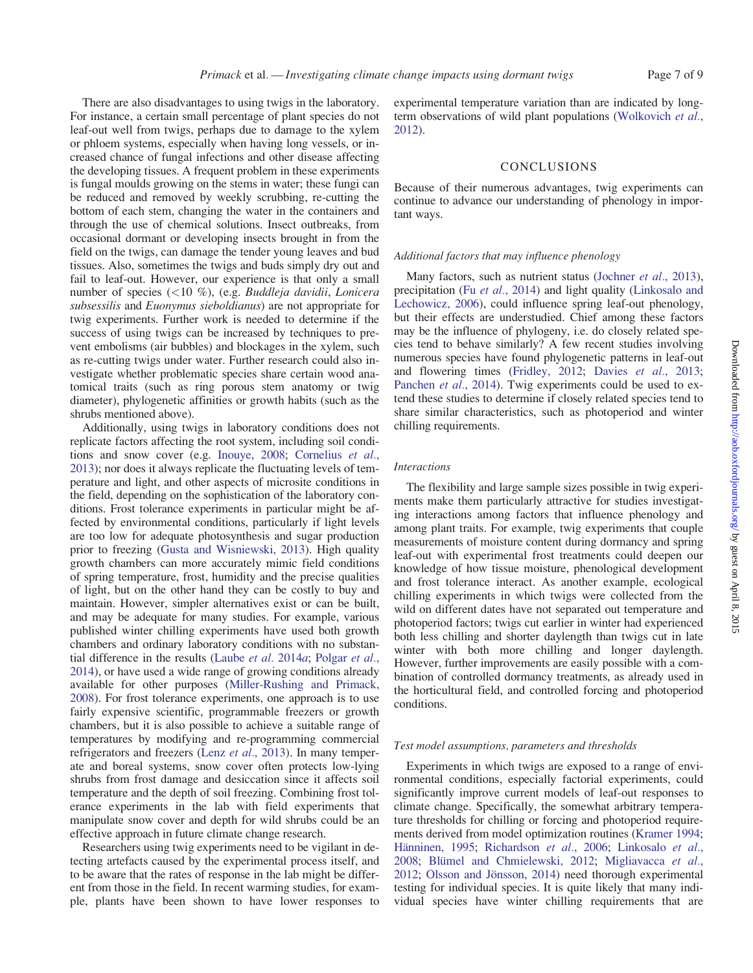There are also disadvantages to using twigs in the laboratory. For instance, a certain small percentage of plant species do not leaf-out well from twigs, perhaps due to damage to the xylem or phloem systems, especially when having long vessels, or increased chance of fungal infections and other disease affecting the developing tissues. A frequent problem in these experiments is fungal moulds growing on the stems in water; these fungi can be reduced and removed by weekly scrubbing, re-cutting the bottom of each stem, changing the water in the containers and through the use of chemical solutions. Insect outbreaks, from occasional dormant or developing insects brought in from the field on the twigs, can damage the tender young leaves and bud tissues. Also, sometimes the twigs and buds simply dry out and fail to leaf-out. However, our experience is that only a small number of species (<10 %), (e.g. Buddleja davidii, Lonicera subsessilis and Euonymus sieboldianus) are not appropriate for twig experiments. Further work is needed to determine if the success of using twigs can be increased by techniques to prevent embolisms (air bubbles) and blockages in the xylem, such as re-cutting twigs under water. Further research could also investigate whether problematic species share certain wood anatomical traits (such as ring porous stem anatomy or twig diameter), phylogenetic affinities or growth habits (such as the shrubs mentioned above).

Additionally, using twigs in laboratory conditions does not replicate factors affecting the root system, including soil conditions and snow cover (e.g. [Inouye, 2008;](#page-8-0) [Cornelius](#page-7-0) et al., [2013\)](#page-7-0); nor does it always replicate the fluctuating levels of temperature and light, and other aspects of microsite conditions in the field, depending on the sophistication of the laboratory conditions. Frost tolerance experiments in particular might be affected by environmental conditions, particularly if light levels are too low for adequate photosynthesis and sugar production prior to freezing ([Gusta and Wisniewski, 2013](#page-7-0)). High quality growth chambers can more accurately mimic field conditions of spring temperature, frost, humidity and the precise qualities of light, but on the other hand they can be costly to buy and maintain. However, simpler alternatives exist or can be built, and may be adequate for many studies. For example, various published winter chilling experiments have used both growth chambers and ordinary laboratory conditions with no substantial difference in the results [\(Laube](#page-8-0) et al. 2014a; [Polgar](#page-8-0) et al., [2014\)](#page-8-0), or have used a wide range of growing conditions already available for other purposes ([Miller-Rushing and Primack,](#page-8-0) [2008\)](#page-8-0). For frost tolerance experiments, one approach is to use fairly expensive scientific, programmable freezers or growth chambers, but it is also possible to achieve a suitable range of temperatures by modifying and re-programming commercial refrigerators and freezers (Lenz et al.[, 2013](#page-8-0)). In many temperate and boreal systems, snow cover often protects low-lying shrubs from frost damage and desiccation since it affects soil temperature and the depth of soil freezing. Combining frost tolerance experiments in the lab with field experiments that manipulate snow cover and depth for wild shrubs could be an effective approach in future climate change research.

Researchers using twig experiments need to be vigilant in detecting artefacts caused by the experimental process itself, and to be aware that the rates of response in the lab might be different from those in the field. In recent warming studies, for example, plants have been shown to have lower responses to experimental temperature variation than are indicated by long-term observations of wild plant populations [\(Wolkovich](#page-8-0) et al., [2012](#page-8-0)).

# CONCLUSIONS

Because of their numerous advantages, twig experiments can continue to advance our understanding of phenology in important ways.

#### Additional factors that may influence phenology

Many factors, such as nutrient status [\(Jochner](#page-8-0) et al., 2013), precipitation (Fu et al.[, 2014](#page-7-0)) and light quality [\(Linkosalo and](#page-8-0) [Lechowicz, 2006\)](#page-8-0), could influence spring leaf-out phenology, but their effects are understudied. Chief among these factors may be the influence of phylogeny, i.e. do closely related species tend to behave similarly? A few recent studies involving numerous species have found phylogenetic patterns in leaf-out and flowering times [\(Fridley, 2012](#page-7-0); Davies et al.[, 2013](#page-7-0); [Panchen](#page-8-0) *et al.*, 2014). Twig experiments could be used to extend these studies to determine if closely related species tend to share similar characteristics, such as photoperiod and winter chilling requirements.

#### **Interactions**

The flexibility and large sample sizes possible in twig experiments make them particularly attractive for studies investigating interactions among factors that influence phenology and among plant traits. For example, twig experiments that couple measurements of moisture content during dormancy and spring leaf-out with experimental frost treatments could deepen our knowledge of how tissue moisture, phenological development and frost tolerance interact. As another example, ecological chilling experiments in which twigs were collected from the wild on different dates have not separated out temperature and photoperiod factors; twigs cut earlier in winter had experienced both less chilling and shorter daylength than twigs cut in late winter with both more chilling and longer daylength. However, further improvements are easily possible with a combination of controlled dormancy treatments, as already used in the horticultural field, and controlled forcing and photoperiod conditions.

#### Test model assumptions, parameters and thresholds

Experiments in which twigs are exposed to a range of environmental conditions, especially factorial experiments, could significantly improve current models of leaf-out responses to climate change. Specifically, the somewhat arbitrary temperature thresholds for chilling or forcing and photoperiod requirements derived from model optimization routines [\(Kramer 1994](#page-8-0); Hänninen, 1995; [Richardson](#page-8-0) et al., 2006; [Linkosalo](#page-8-0) et al., [2008](#page-8-0); Blümel and Chmielewski, 2012; [Migliavacca](#page-8-0) et al., [2012](#page-8-0); Olsson and Jönsson, 2014) need thorough experimental testing for individual species. It is quite likely that many individual species have winter chilling requirements that are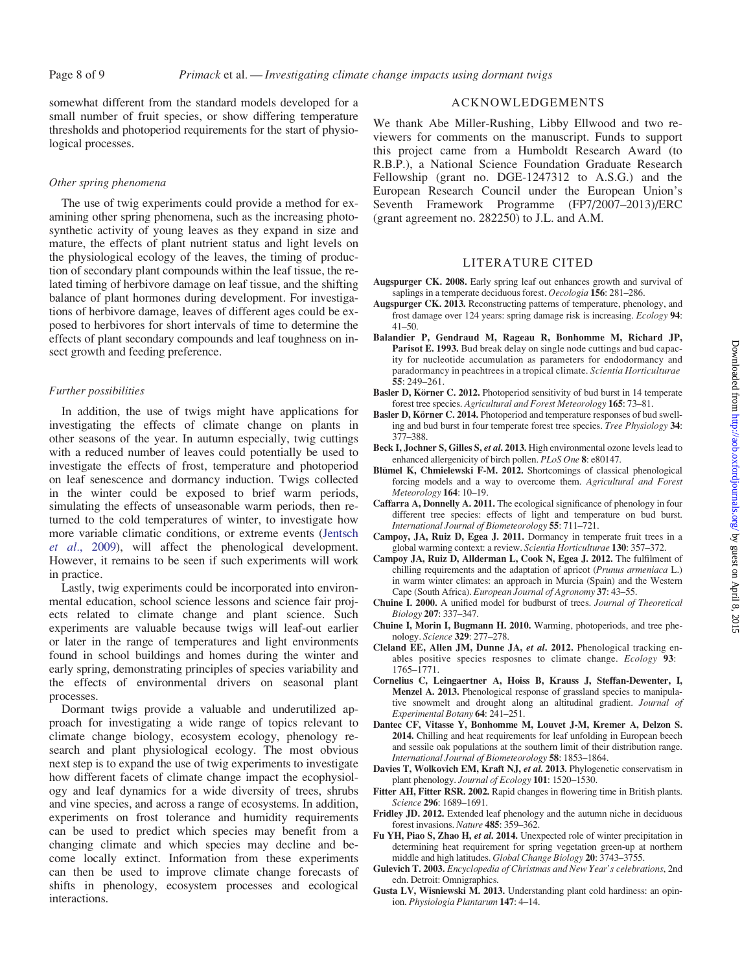<span id="page-7-0"></span>somewhat different from the standard models developed for a small number of fruit species, or show differing temperature thresholds and photoperiod requirements for the start of physiological processes.

### Other spring phenomena

The use of twig experiments could provide a method for examining other spring phenomena, such as the increasing photosynthetic activity of young leaves as they expand in size and mature, the effects of plant nutrient status and light levels on the physiological ecology of the leaves, the timing of production of secondary plant compounds within the leaf tissue, the related timing of herbivore damage on leaf tissue, and the shifting balance of plant hormones during development. For investigations of herbivore damage, leaves of different ages could be exposed to herbivores for short intervals of time to determine the effects of plant secondary compounds and leaf toughness on insect growth and feeding preference.

### Further possibilities

In addition, the use of twigs might have applications for investigating the effects of climate change on plants in other seasons of the year. In autumn especially, twig cuttings with a reduced number of leaves could potentially be used to investigate the effects of frost, temperature and photoperiod on leaf senescence and dormancy induction. Twigs collected in the winter could be exposed to brief warm periods, simulating the effects of unseasonable warm periods, then returned to the cold temperatures of winter, to investigate how more variable climatic conditions, or extreme events ([Jentsch](#page-8-0) et al.[, 2009](#page-8-0)), will affect the phenological development. However, it remains to be seen if such experiments will work in practice.

Lastly, twig experiments could be incorporated into environmental education, school science lessons and science fair projects related to climate change and plant science. Such experiments are valuable because twigs will leaf-out earlier or later in the range of temperatures and light environments found in school buildings and homes during the winter and early spring, demonstrating principles of species variability and the effects of environmental drivers on seasonal plant processes.

Dormant twigs provide a valuable and underutilized approach for investigating a wide range of topics relevant to climate change biology, ecosystem ecology, phenology research and plant physiological ecology. The most obvious next step is to expand the use of twig experiments to investigate how different facets of climate change impact the ecophysiology and leaf dynamics for a wide diversity of trees, shrubs and vine species, and across a range of ecosystems. In addition, experiments on frost tolerance and humidity requirements can be used to predict which species may benefit from a changing climate and which species may decline and become locally extinct. Information from these experiments can then be used to improve climate change forecasts of shifts in phenology, ecosystem processes and ecological interactions.

## ACKNOWLEDGEMENTS

We thank Abe Miller-Rushing, Libby Ellwood and two reviewers for comments on the manuscript. Funds to support this project came from a Humboldt Research Award (to R.B.P.), a National Science Foundation Graduate Research Fellowship (grant no. DGE-1247312 to A.S.G.) and the European Research Council under the European Union's Seventh Framework Programme (FP7/2007–2013)/ERC (grant agreement no. 282250) to J.L. and A.M.

## LITERATURE CITED

- Augspurger CK. 2008. Early spring leaf out enhances growth and survival of saplings in a temperate deciduous forest. Oecologia 156: 281–286.
- Augspurger CK. 2013. Reconstructing patterns of temperature, phenology, and frost damage over 124 years: spring damage risk is increasing. Ecology 94:  $41-50$
- Balandier P, Gendraud M, Rageau R, Bonhomme M, Richard JP, Parisot E. 1993. Bud break delay on single node cuttings and bud capacity for nucleotide accumulation as parameters for endodormancy and paradormancy in peachtrees in a tropical climate. Scientia Horticulturae  $55.249 - 261$
- Basler D, Körner C. 2012. Photoperiod sensitivity of bud burst in 14 temperate forest tree species. Agricultural and Forest Meteorology 165: 73–81.
- Basler D, Körner C. 2014. Photoperiod and temperature responses of bud swelling and bud burst in four temperate forest tree species. Tree Physiology 34: 377–388.
- Beck I, Jochner S, Gilles S, et al. 2013. High environmental ozone levels lead to enhanced allergenicity of birch pollen. PLoS One 8: e80147.
- Blümel K, Chmielewski F-M. 2012. Shortcomings of classical phenological forcing models and a way to overcome them. Agricultural and Forest Meteorology 164: 10–19.
- Caffarra A, Donnelly A. 2011. The ecological significance of phenology in four different tree species: effects of light and temperature on bud burst. International Journal of Biometeorology 55: 711–721.
- Campoy, JA, Ruiz D, Egea J. 2011. Dormancy in temperate fruit trees in a global warming context: a review. Scientia Horticulturae 130: 357–372.
- Campoy JA, Ruiz D, Allderman L, Cook N, Egea J. 2012. The fulfilment of chilling requirements and the adaptation of apricot (Prunus armeniaca L.) in warm winter climates: an approach in Murcia (Spain) and the Western Cape (South Africa). European Journal of Agronomy 37: 43–55.
- Chuine I. 2000. A unified model for budburst of trees. Journal of Theoretical Biology 207: 337–347.
- Chuine I, Morin I, Bugmann H. 2010. Warming, photoperiods, and tree phenology. Science 329: 277–278.
- Cleland EE, Allen JM, Dunne JA, et al. 2012. Phenological tracking enables positive species resposnes to climate change. Ecology 93: 1765–1771.
- Cornelius C, Leingaertner A, Hoiss B, Krauss J, Steffan-Dewenter, I, Menzel A. 2013. Phenological response of grassland species to manipulative snowmelt and drought along an altitudinal gradient. Journal of Experimental Botany 64: 241–251.
- Dantec CF, Vitasse Y, Bonhomme M, Louvet J-M, Kremer A, Delzon S. 2014. Chilling and heat requirements for leaf unfolding in European beech and sessile oak populations at the southern limit of their distribution range. International Journal of Biometeorology 58: 1853–1864.
- Davies T, Wolkovich EM, Kraft NJ, et al. 2013. Phylogenetic conservatism in plant phenology. Journal of Ecology 101: 1520–1530.
- Fitter AH, Fitter RSR. 2002. Rapid changes in flowering time in British plants. Science 296: 1689–1691.
- Fridley JD. 2012. Extended leaf phenology and the autumn niche in deciduous forest invasions. Nature 485: 359–362.
- Fu YH, Piao S, Zhao H, et al. 2014. Unexpected role of winter precipitation in determining heat requirement for spring vegetation green-up at northern middle and high latitudes. Global Change Biology 20: 3743–3755.
- Gulevich T. 2003. Encyclopedia of Christmas and New Year's celebrations, 2nd edn. Detroit: Omnigraphics.
- Gusta LV, Wisniewski M. 2013. Understanding plant cold hardiness: an opinion. Physiologia Plantarum 147: 4–14.